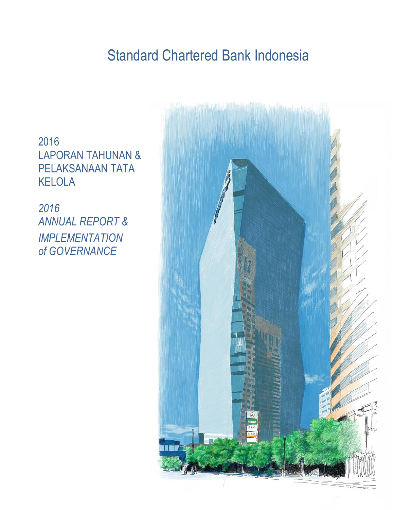## Standard Chartered Bank Indonesia

2016 LAPORAN TAHUNAN & PELAKSANAAN TATA KELOLA

*2016* **ANNUAL REPORT &** *IMPLEMENTATION of GOVERNANCE*

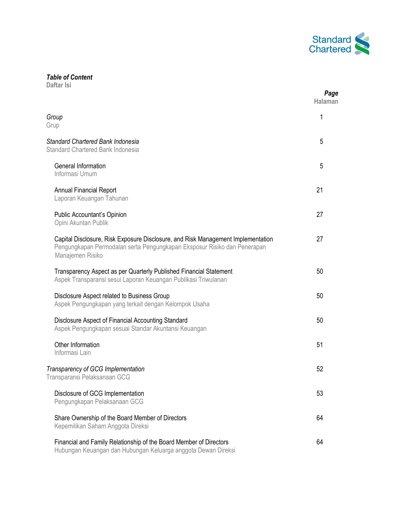

## *Table of Content*

**Daftar Isi**

|                                                                                                                                                                                  | Page<br><b>Halaman</b> |
|----------------------------------------------------------------------------------------------------------------------------------------------------------------------------------|------------------------|
| Group<br>Grup                                                                                                                                                                    | 1                      |
| Standard Chartered Bank Indonesia<br>Standard Chartered Bank Indonesia                                                                                                           | 5                      |
| General Information<br>Informasi Umum                                                                                                                                            | 5                      |
| <b>Annual Financial Report</b><br>Laporan Keuangan Tahunan                                                                                                                       | 21                     |
| Public Accountant's Opinion<br>Opini Akuntan Publik                                                                                                                              | 27                     |
| Capital Disclosure, Risk Exposure Disclosure, and Risk Management Implementation<br>Pengungkapan Permodalan serta Pengungkapan Eksposur Risiko dan Penerapan<br>Manajemen Risiko | 27                     |
| Transparency Aspect as per Quarterly Published Financial Statement<br>Aspek Transparansi sesui Laporan Keuangan Publikasi Triwulanan                                             | 50                     |
| Disclosure Aspect related to Business Group<br>Aspek Pengungkapan yang terkait dengan Kelompok Usaha                                                                             | 50                     |
| Disclosure Aspect of Financial Accounting Standard<br>Aspek Pengungkapan sesuai Standar Akuntansi Keuangan                                                                       | 50                     |
| Other Information<br>Informasi Lain                                                                                                                                              | 51                     |
| Transparency of GCG Implementation<br>Transparansi Pelaksanaan GCG                                                                                                               | 52                     |
| Disclosure of GCG Implementation<br>Pengungkapan Pelaksanaan GCG                                                                                                                 | 53                     |
| Share Ownership of the Board Member of Directors<br>Kepemilikan Saham Anggota Direksi                                                                                            | 64                     |
| Financial and Family Relationship of the Board Member of Directors<br>Hubungan Keuangan dan Hubungan Keluarga anggota Dewan Direksi                                              | 64                     |